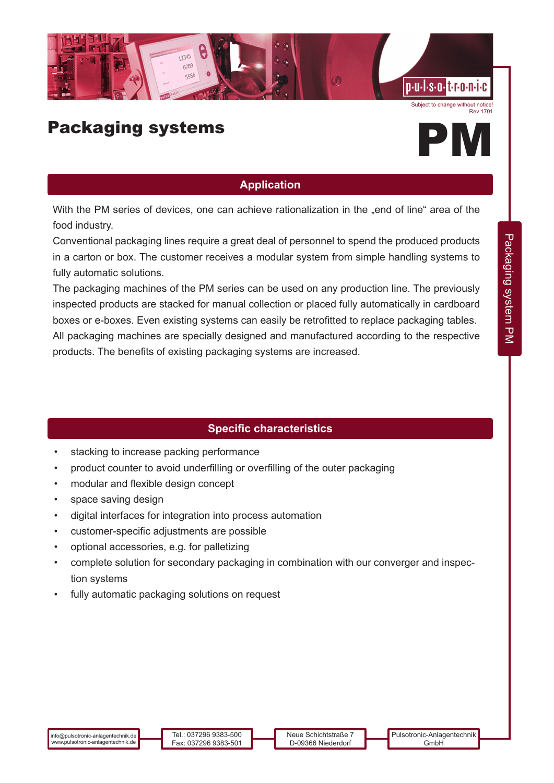

Subject to change without notice! Rev 1701



## **Application**

With the PM series of devices, one can achieve rationalization in the "end of line" area of the food industry.

Conventional packaging lines require a great deal of personnel to spend the produced products in a carton or box. The customer receives a modular system from simple handling systems to fully automatic solutions.

The packaging machines of the PM series can be used on any production line. The previously inspected products are stacked for manual collection or placed fully automatically in cardboard boxes or e-boxes. Even existing systems can easily be retrofitted to replace packaging tables.

All packaging machines are specially designed and manufactured according to the respective products. The benefits of existing packaging systems are increased.

## **Specific characteristics**

- stacking to increase packing performance
- product counter to avoid underfilling or overfilling of the outer packaging
- modular and flexible design concept
- space saving design
- digital interfaces for integration into process automation
- customer-specific adjustments are possible
- optional accessories, e.g. for palletizing
- complete solution for secondary packaging in combination with our converger and inspection systems
- fully automatic packaging solutions on request

Packaging system PM

Packaging system PM